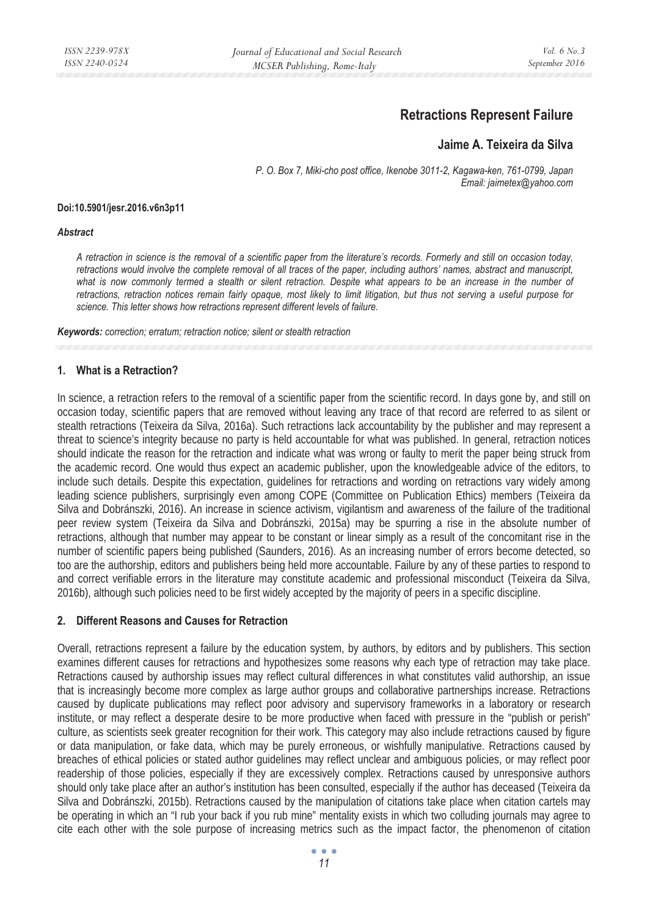# **Retractions Represent Failure**

## **Jaime A. Teixeira da Silva**

*P. O. Box 7, Miki-cho post office, Ikenobe 3011-2, Kagawa-ken, 761-0799, Japan Email: jaimetex@yahoo.com* 

#### **Doi:10.5901/jesr.2016.v6n3p11**

#### *Abstract*

*A retraction in science is the removal of a scientific paper from the literature's records. Formerly and still on occasion today, retractions would involve the complete removal of all traces of the paper, including authors' names, abstract and manuscript,*  what is now commonly termed a stealth or silent retraction. Despite what appears to be an increase in the number of *retractions, retraction notices remain fairly opaque, most likely to limit litigation, but thus not serving a useful purpose for science. This letter shows how retractions represent different levels of failure.* 

*Keywords: correction; erratum; retraction notice; silent or stealth retraction* 

## **1. What is a Retraction?**

In science, a retraction refers to the removal of a scientific paper from the scientific record. In days gone by, and still on occasion today, scientific papers that are removed without leaving any trace of that record are referred to as silent or stealth retractions (Teixeira da Silva, 2016a). Such retractions lack accountability by the publisher and may represent a threat to science's integrity because no party is held accountable for what was published. In general, retraction notices should indicate the reason for the retraction and indicate what was wrong or faulty to merit the paper being struck from the academic record. One would thus expect an academic publisher, upon the knowledgeable advice of the editors, to include such details. Despite this expectation, guidelines for retractions and wording on retractions vary widely among leading science publishers, surprisingly even among COPE (Committee on Publication Ethics) members (Teixeira da Silva and Dobránszki, 2016). An increase in science activism, vigilantism and awareness of the failure of the traditional peer review system (Teixeira da Silva and Dobránszki, 2015a) may be spurring a rise in the absolute number of retractions, although that number may appear to be constant or linear simply as a result of the concomitant rise in the number of scientific papers being published (Saunders, 2016). As an increasing number of errors become detected, so too are the authorship, editors and publishers being held more accountable. Failure by any of these parties to respond to and correct verifiable errors in the literature may constitute academic and professional misconduct (Teixeira da Silva, 2016b), although such policies need to be first widely accepted by the majority of peers in a specific discipline.

## **2. Different Reasons and Causes for Retraction**

Overall, retractions represent a failure by the education system, by authors, by editors and by publishers. This section examines different causes for retractions and hypothesizes some reasons why each type of retraction may take place. Retractions caused by authorship issues may reflect cultural differences in what constitutes valid authorship, an issue that is increasingly become more complex as large author groups and collaborative partnerships increase. Retractions caused by duplicate publications may reflect poor advisory and supervisory frameworks in a laboratory or research institute, or may reflect a desperate desire to be more productive when faced with pressure in the "publish or perish" culture, as scientists seek greater recognition for their work. This category may also include retractions caused by figure or data manipulation, or fake data, which may be purely erroneous, or wishfully manipulative. Retractions caused by breaches of ethical policies or stated author guidelines may reflect unclear and ambiguous policies, or may reflect poor readership of those policies, especially if they are excessively complex. Retractions caused by unresponsive authors should only take place after an author's institution has been consulted, especially if the author has deceased (Teixeira da Silva and Dobránszki, 2015b). Retractions caused by the manipulation of citations take place when citation cartels may be operating in which an "I rub your back if you rub mine" mentality exists in which two colluding journals may agree to cite each other with the sole purpose of increasing metrics such as the impact factor, the phenomenon of citation